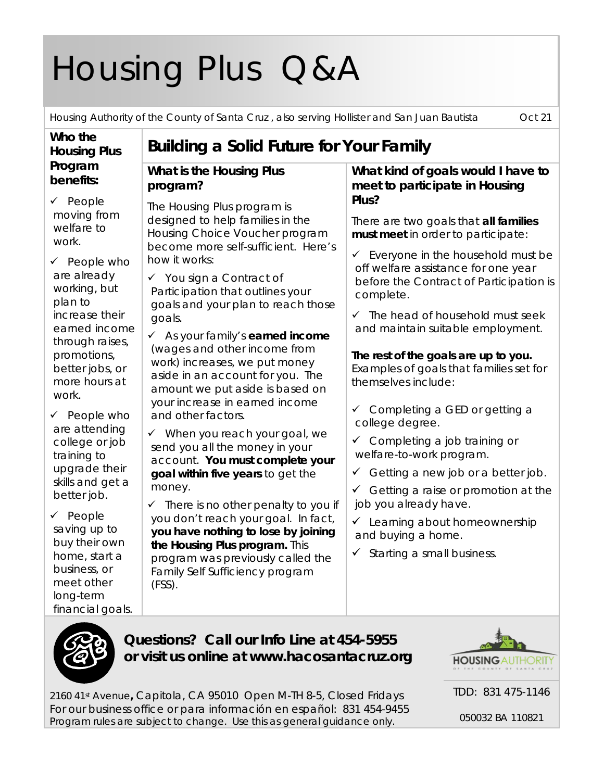# Housing Plus Q&A

Housing Authority of the County of Santa Cruz , also serving Hollister and San Juan Bautista Oct 21

#### **Who the Housing Plus Program benefits:**

 $\checkmark$  People moving from welfare to work.

 $\checkmark$  People who are already working, but plan to increase their earned income through raises, promotions, better jobs, or more hours at work.

 $\checkmark$  People who are attending college or job training to upgrade their skills and get a better job.

 $\checkmark$  People saving up to buy their own home, start a business, or meet other long-term financial goals.

## **Building a Solid Future for Your Family**

#### **What is the Housing Plus program?**

The Housing Plus program is designed to help families in the Housing Choice Voucher program become more self-sufficient. Here's how it works:

 $\checkmark$  You sign a Contract of Participation that outlines your goals and your plan to reach those goals.

 As your family's **earned income** (wages and other income from work) increases, we put money aside in an account for you. The amount we put aside is based on your increase in earned income and other factors.

 $\checkmark$  When you reach your goal, we send you all the money in your account. **You must complete your goal within five years** to get the money.

 $\checkmark$  There is no other penalty to you if you don't reach your goal. In fact, **you have nothing to lose by joining the Housing Plus program.** This program was previously called the Family Self Sufficiency program (FSS).

#### **What kind of goals would I have to meet to participate in Housing Plus?**

There are two goals that **all families must meet** in order to participate:

- $\checkmark$  Everyone in the household must be off welfare assistance for one year before the Contract of Participation is complete.
- $\checkmark$  The head of household must seek and maintain suitable employment.

**The rest of the goals are up to you.** Examples of goals that families set for themselves include:

- $\checkmark$  Completing a GED or getting a college degree.
- $\checkmark$  Completing a job training or welfare-to-work program.
- Getting a new job or a better job.
- $\checkmark$  Getting a raise or promotion at the job you already have.
- $\checkmark$  Learning about homeownership and buying a home.
- $\checkmark$  Starting a small business.



**Questions? Call our Info Line at 454-5955 or visit us online at www.hacosantacruz.org**



TDD: 831 475-1146

2160 41st Avenue**,** Capitola, CA 95010 Open M-TH 8-5, Closed Fridays For our business office or para información en español: 831 454-9455 *Program rules are subject to change. Use this as general guidance only.*

050032 BA 110821